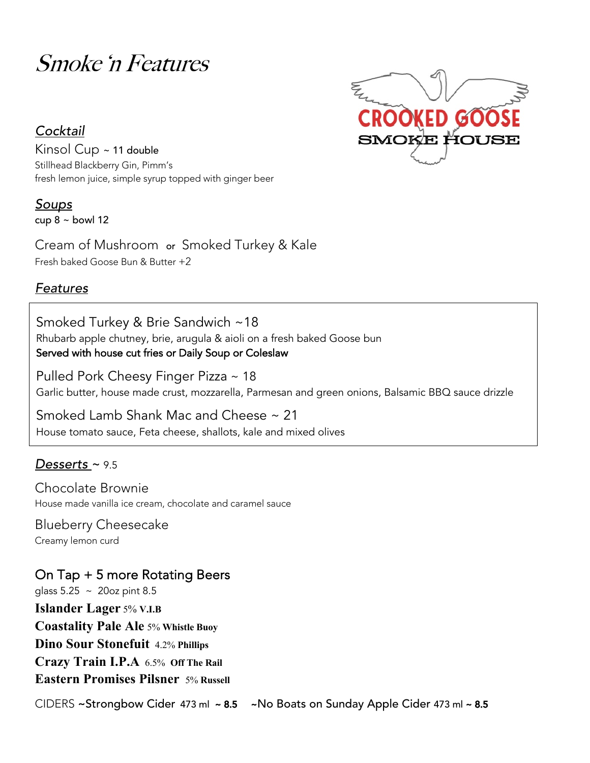# Smoke 'n Features

## *Cocktail*

Kinsol Cup ~ 11 double Stillhead Blackberry Gin, Pimm's fresh lemon juice, simple syrup topped with ginger beer

*Soups* cup  $8 \sim$  bowl 12

Cream of Mushroom or Smoked Turkey & Kale Fresh baked Goose Bun & Butter +2

## *Features*

Smoked Turkey & Brie Sandwich ~18 Rhubarb apple chutney, brie, arugula & aioli on a fresh baked Goose bun Served with house cut fries or Daily Soup or Coleslaw

Pulled Pork Cheesy Finger Pizza~ 18 Garlic butter, house made crust, mozzarella, Parmesan and green onions, Balsamic BBQ sauce drizzle

Smoked Lamb Shank Mac and Cheese ~ 21 House tomato sauce, Feta cheese, shallots, kale and mixed olives

## *Desserts* ~ 9.5

Chocolate Brownie House made vanilla ice cream, chocolate and caramel sauce

Blueberry Cheesecake Creamy lemon curd

On Tap + 5 more Rotating Beers glass 5.25 ~ 20oz pint 8.5 **Islander Lager** 5% **V.I.B Coastality Pale Ale** 5% **Whistle Buoy Dino Sour Stonefuit** 4.2% **Phillips Crazy Train I.P.A** 6.5% **Off The Rail Eastern Promises Pilsner** 5% **Russell**